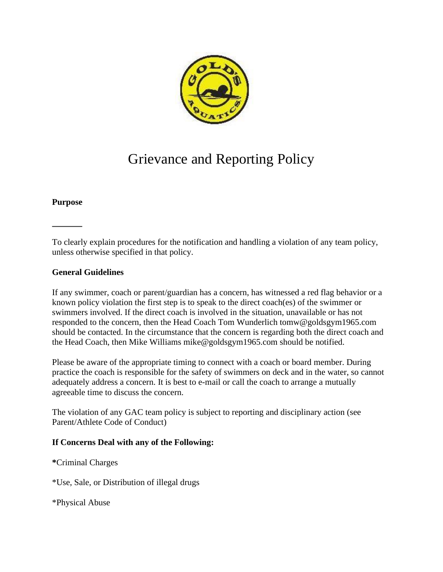

# Grievance and Reporting Policy

#### **Purpose**

To clearly explain procedures for the notification and handling a violation of any team policy, unless otherwise specified in that policy.

## **General Guidelines**

If any swimmer, coach or parent/guardian has a concern, has witnessed a red flag behavior or a known policy violation the first step is to speak to the direct coach(es) of the swimmer or swimmers involved. If the direct coach is involved in the situation, unavailable or has not responded to the concern, then the Head Coach Tom Wunderlich tomw@goldsgym1965.com should be contacted. In the circumstance that the concern is regarding both the direct coach and the Head Coach, then Mike Williams mike@goldsgym1965.com should be notified.

Please be aware of the appropriate timing to connect with a coach or board member. During practice the coach is responsible for the safety of swimmers on deck and in the water, so cannot adequately address a concern. It is best to e-mail or call the coach to arrange a mutually agreeable time to discuss the concern.

The violation of any GAC team policy is subject to reporting and disciplinary action (see Parent/Athlete Code of Conduct)

#### **If Concerns Deal with any of the Following:**

**\***Criminal Charges

\*Use, Sale, or Distribution of illegal drugs

\*Physical Abuse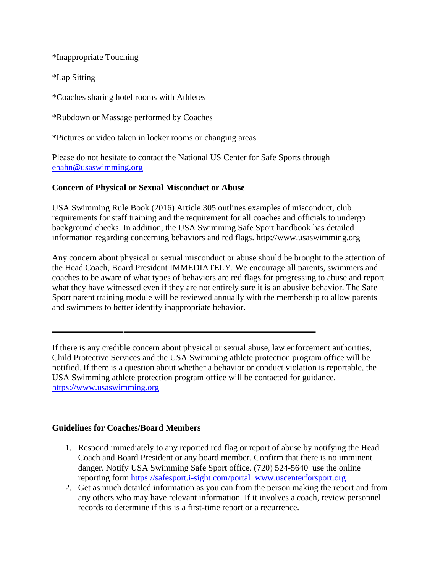\*Inappropriate Touching

\*Lap Sitting

\*Coaches sharing hotel rooms with Athletes

\*Rubdown or Massage performed by Coaches

\*Pictures or video taken in locker rooms or changing areas

Please do not hesitate to contact the National US Center for Safe Sports through [ehahn@usaswimming.org](mailto:ehahn@usaswimming.org)

## **Concern of Physical or Sexual Misconduct or Abuse**

USA Swimming Rule Book (2016) Article 305 outlines examples of misconduct, club requirements for staff training and the requirement for all coaches and officials to undergo background checks. In addition, the USA Swimming Safe Sport handbook has detailed information regarding concerning behaviors and red flags. http://www.usaswimming.org

Any concern about physical or sexual misconduct or abuse should be brought to the attention of the Head Coach, Board President IMMEDIATELY. We encourage all parents, swimmers and coaches to be aware of what types of behaviors are red flags for progressing to abuse and report what they have witnessed even if they are not entirely sure it is an abusive behavior. The Safe Sport parent training module will be reviewed annually with the membership to allow parents and swimmers to better identify inappropriate behavior.

If there is any credible concern about physical or sexual abuse, law enforcement authorities, Child Protective Services and the USA Swimming athlete protection program office will be notified. If there is a question about whether a behavior or conduct violation is reportable, the USA Swimming athlete protection program office will be contacted for guidance. [https://www.usaswimming.org](https://www.usaswimming.org/)

## **Guidelines for Coaches/Board Members**

- 1. Respond immediately to any reported red flag or report of abuse by notifying the Head Coach and Board President or any board member. Confirm that there is no imminent danger. Notify USA Swimming Safe Sport office. (720) 524-5640 use the online reporting form <https://safesport.i-sight.com/portal>[www.uscenterforsport.org](https://uscenterforsafesport.org/)
- 2. Get as much detailed information as you can from the person making the report and from any others who may have relevant information. If it involves a coach, review personnel records to determine if this is a first-time report or a recurrence.